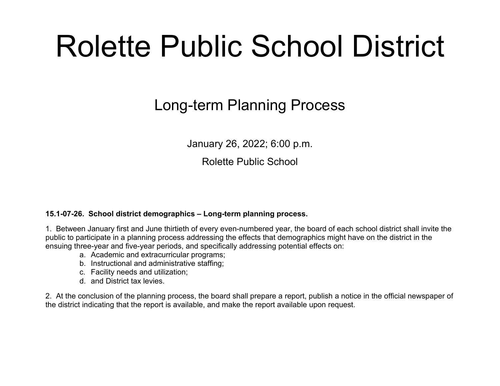# Rolette Public School District

#### Long-term Planning Process

January 26, 2022; 6:00 p.m.

Rolette Public School

#### **15.1-07-26. School district demographics – Long-term planning process.**

1. Between January first and June thirtieth of every even-numbered year, the board of each school district shall invite the public to participate in a planning process addressing the effects that demographics might have on the district in the ensuing three-year and five-year periods, and specifically addressing potential effects on:

- a. Academic and extracurricular programs;
- b. Instructional and administrative staffing;
- c. Facility needs and utilization;
- d. and District tax levies.

2. At the conclusion of the planning process, the board shall prepare a report, publish a notice in the official newspaper of the district indicating that the report is available, and make the report available upon request.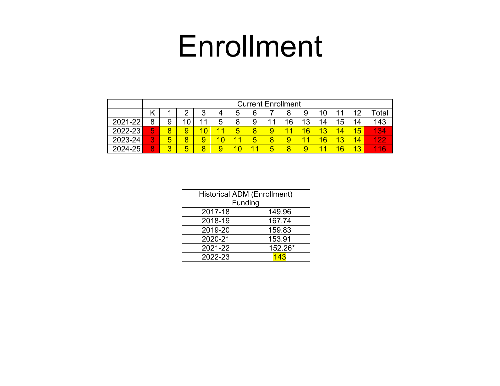## Enrollment

|         |   | <b>Current Enrollment</b> |    |        |                 |    |    |   |    |    |    |              |    |                   |
|---------|---|---------------------------|----|--------|-----------------|----|----|---|----|----|----|--------------|----|-------------------|
|         |   |                           | ◠  | ◠<br>J | 4               | 5  | 6  |   |    | 9  | 10 |              | c  | <sup>-</sup> otal |
| 2021-22 | 8 | 9                         | 10 |        | 5               | 8  | 9  | и | 16 | 13 | 14 | 15           | 14 | 143               |
| 2022-23 | 5 | 8                         | 9  |        | 1               | 5  | 8  | 9 | 4  | 16 | 13 |              | 15 | 134               |
| 2023-24 | 3 | 5                         | 8  | 9      | 10 <sub>1</sub> | 11 | 5  | 8 |    | 11 | 16 | 12<br>$\sim$ | 14 | 499               |
| 2024-25 | 8 | 3                         | 5  | 8      |                 | n  | 44 | 5 |    | 9  | 11 | 6            | 13 | 16                |

| <b>Historical ADM (Enrollment)</b><br>Funding |         |  |  |  |  |
|-----------------------------------------------|---------|--|--|--|--|
|                                               |         |  |  |  |  |
| 2017-18                                       | 149.96  |  |  |  |  |
| 2018-19                                       | 167.74  |  |  |  |  |
| 2019-20                                       | 159.83  |  |  |  |  |
| 2020-21                                       | 153.91  |  |  |  |  |
| 2021-22                                       | 152.26* |  |  |  |  |
| 2022-23                                       | 143     |  |  |  |  |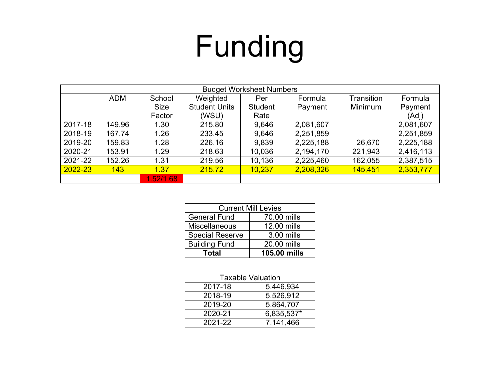# Funding

| <b>Budget Worksheet Numbers</b> |            |             |                      |                |           |            |           |  |
|---------------------------------|------------|-------------|----------------------|----------------|-----------|------------|-----------|--|
|                                 | <b>ADM</b> | School      | Weighted             | Per            | Formula   | Transition | Formula   |  |
|                                 |            | <b>Size</b> | <b>Student Units</b> | <b>Student</b> | Payment   | Minimum    | Payment   |  |
|                                 |            | Factor      | (WSU)                | Rate           |           |            | (Adj)     |  |
| 2017-18                         | 149.96     | 1.30        | 215.80               | 9,646          | 2,081,607 |            | 2,081,607 |  |
| 2018-19                         | 167.74     | 1.26        | 233.45               | 9,646          | 2,251,859 |            | 2,251,859 |  |
| 2019-20                         | 159.83     | 1.28        | 226.16               | 9,839          | 2,225,188 | 26,670     | 2,225,188 |  |
| 2020-21                         | 153.91     | 1.29        | 218.63               | 10,036         | 2,194,170 | 221,943    | 2,416,113 |  |
| 2021-22                         | 152.26     | 1.31        | 219.56               | 10,136         | 2,225,460 | 162,055    | 2,387,515 |  |
| 2022-23                         | 143        | 1.37        | 215.72               | 10,237         | 2,208,326 | 145,451    | 2,353,777 |  |
|                                 |            | 1.52/1.68   |                      |                |           |            |           |  |

| <b>Current Mill Levies</b> |              |  |  |  |  |
|----------------------------|--------------|--|--|--|--|
| <b>General Fund</b>        | 70.00 mills  |  |  |  |  |
| <b>Miscellaneous</b>       | 12.00 mills  |  |  |  |  |
| <b>Special Reserve</b>     | 3.00 mills   |  |  |  |  |
| <b>Building Fund</b>       | 20.00 mills  |  |  |  |  |
| <b>Total</b>               | 105.00 mills |  |  |  |  |

| <b>Taxable Valuation</b> |            |  |  |  |  |
|--------------------------|------------|--|--|--|--|
| 2017-18                  | 5,446,934  |  |  |  |  |
| 2018-19                  | 5,526,912  |  |  |  |  |
| 2019-20                  | 5,864,707  |  |  |  |  |
| 2020-21                  | 6,835,537* |  |  |  |  |
| 2021-22                  | 7,141,466  |  |  |  |  |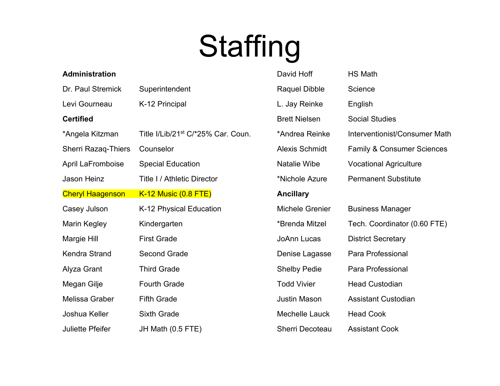# Staffing

| <b>Administration</b>      |                                                | David Hoff             | HS Math                               |
|----------------------------|------------------------------------------------|------------------------|---------------------------------------|
| Dr. Paul Stremick          | Superintendent                                 | <b>Raquel Dibble</b>   | Science                               |
| Levi Gourneau              | K-12 Principal                                 | L. Jay Reinke          | English                               |
| <b>Certified</b>           |                                                | <b>Brett Nielsen</b>   | <b>Social Studies</b>                 |
| *Angela Kitzman            | Title I/Lib/21 <sup>st</sup> C/*25% Car. Coun. | *Andrea Reinke         | Interventionist/Consumer Math         |
| <b>Sherri Razaq-Thiers</b> | Counselor                                      | <b>Alexis Schmidt</b>  | <b>Family &amp; Consumer Sciences</b> |
| April LaFromboise          | <b>Special Education</b>                       | Natalie Wibe           | <b>Vocational Agriculture</b>         |
| <b>Jason Heinz</b>         | <b>Title I / Athletic Director</b>             | *Nichole Azure         | <b>Permanent Substitute</b>           |
| <b>Cheryl Haagenson</b>    | <b>K-12 Music (0.8 FTE)</b>                    | <b>Ancillary</b>       |                                       |
| Casey Julson               | K-12 Physical Education                        | <b>Michele Grenier</b> | <b>Business Manager</b>               |
| <b>Marin Kegley</b>        | Kindergarten                                   | *Brenda Mitzel         | Tech. Coordinator (0.60 FTE)          |
| Margie Hill                | <b>First Grade</b>                             | <b>JoAnn Lucas</b>     | <b>District Secretary</b>             |
| <b>Kendra Strand</b>       | <b>Second Grade</b>                            | Denise Lagasse         | Para Professional                     |
| Alyza Grant                | <b>Third Grade</b>                             | <b>Shelby Pedie</b>    | Para Professional                     |
| Megan Gilje                | <b>Fourth Grade</b>                            | <b>Todd Vivier</b>     | <b>Head Custodian</b>                 |
| Melissa Graber             | <b>Fifth Grade</b>                             | <b>Justin Mason</b>    | <b>Assistant Custodian</b>            |
| Joshua Keller              | <b>Sixth Grade</b>                             | Mechelle Lauck         | <b>Head Cook</b>                      |
| <b>Juliette Pfeifer</b>    | JH Math (0.5 FTE)                              | <b>Sherri Decoteau</b> | <b>Assistant Cook</b>                 |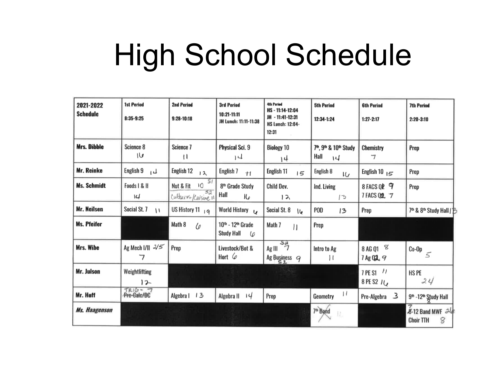# High School Schedule

| 2021-2022<br><b>Schedule</b> | <b>1st Period</b><br>8:35-9:25 | <b>2nd Period</b><br>$9:28-10:18$                | <b>3rd Period</b><br>10:21-11:11<br>JH Lunch: 11:11-11:38    | <b>4th Period</b><br>HS-11:14-12:04<br>JH - 11:41-12:31<br><b>HS Lunch: 12:04-</b><br>12:31 | <b>5th Period</b><br>12:34-1:24               | <b>6th Period</b><br>$1:27 - 2:17$ | <b>7th Period</b><br>$2:20 - 3:10$           |
|------------------------------|--------------------------------|--------------------------------------------------|--------------------------------------------------------------|---------------------------------------------------------------------------------------------|-----------------------------------------------|------------------------------------|----------------------------------------------|
| <b>Mrs. Dibble</b>           | Science 8<br>۱७                | Science 7<br>Ħ                                   | Physical Sci. 9<br>14                                        | <b>Biology 10</b><br>14                                                                     | 7th, 9th & 10th Study<br>Hall<br>$\mathsf{I}$ | Chemistry<br>ᄀ                     | Prep                                         |
| <b>Mr. Reinke</b>            | English 9                      | English <sub>12</sub><br>12                      | English 7<br>$+1$                                            | English 11<br>15                                                                            | English 8<br>w                                | English 10 $_{15}$                 | Prep                                         |
| <b>Ms. Schmidt</b>           | Foods   & II<br>14             | 51<br>ю<br>Nut & Fit<br>52<br>Cultures/Cuisine 1 | 8 <sup>th</sup> Grade Study<br>Hall<br>Kρ                    | Child Dev.<br>12                                                                            | Ind. Living<br>13                             | 8 FACS QP 9<br>7 FACS 02 7         | Prep                                         |
| Mr. Neilsen                  | Social St. 7<br>$\mathcal{U}$  | US History 11 19                                 | World History U                                              | Social St. 8<br>ما ا                                                                        | <b>POD</b><br>13                              | Prep                               | 7th & 8th Study Hall   B                     |
| <b>Ms. Pfeifer</b>           |                                | Math 8<br>Lo                                     | 10 <sup>th</sup> - 12 <sup>th</sup> Grade<br>Study Hall<br>C | Math 7<br>П                                                                                 | Prep                                          |                                    |                                              |
| Mrs. Wibe                    | Ag Mech I/II 2/5<br>7          | Prep                                             | Livestock/Bot &<br>Hort $\varphi$                            | $Ag III \frac{sa}{7}$<br>Ag Business $9$                                                    | Intro to Ag<br>Ħ                              | 8 AG Q1 $\%$<br>7 Ag Q 2 9         | $($ Co-Op $\leq$                             |
| <b>Mr. Julson</b>            | Weightlifting<br>12            |                                                  |                                                              |                                                                                             |                                               | $7$ PE S1 $11$<br>8 PE S2 14       | HS PE<br>24                                  |
| Mr. Hoff                     | TRIG-7<br>Pre-Calc/DC          | Algebra   13                                     | Algebra $  $ $ $                                             | Prep                                                                                        | 11<br>Geometry                                | Pre-Algebra 3                      | 9 <sup>th</sup> -12 <sup>th</sup> Study Hall |
| Ms. Haagenson                |                                |                                                  |                                                              |                                                                                             | 7 <sup>th</sup> Band<br>EZ.                   |                                    | 8-12 Band MWF 24<br>8<br><b>Choir TTH</b>    |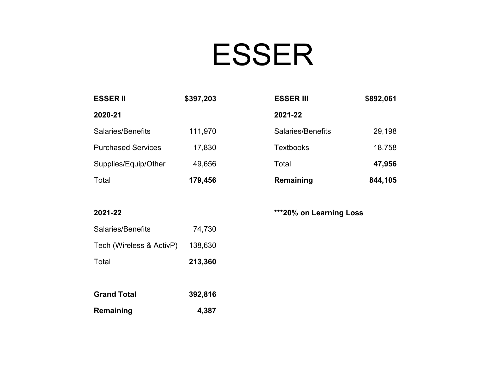## ESSER

| <b>ESSER II</b>           | \$397,203 | <b>ESSER III</b>  | \$892,061 |
|---------------------------|-----------|-------------------|-----------|
| 2020-21                   |           | 2021-22           |           |
| Salaries/Benefits         | 111,970   | Salaries/Benefits | 29,198    |
| <b>Purchased Services</b> | 17,830    | <b>Textbooks</b>  | 18,758    |
| Supplies/Equip/Other      | 49,656    | Total             | 47,956    |
| Total                     | 179,456   | Remaining         | 844,105   |

**2021-22**

**\*\*\*20% on Learning Loss**

| Salaries/Benefits        | 74,730  |
|--------------------------|---------|
| Tech (Wireless & ActivP) | 138,630 |
| Total                    | 213,360 |
|                          |         |
| <b>Grand Total</b>       | 392,816 |
| Remaining                | 4,387   |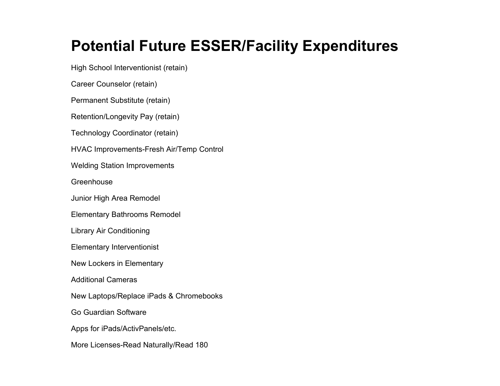#### **Potential Future ESSER/Facility Expenditures**

High School Interventionist (retain)

Career Counselor (retain)

Permanent Substitute (retain)

Retention/Longevity Pay (retain)

Technology Coordinator (retain)

HVAC Improvements-Fresh Air/Temp Control

Welding Station Improvements

**Greenhouse** 

Junior High Area Remodel

Elementary Bathrooms Remodel

Library Air Conditioning

Elementary Interventionist

New Lockers in Elementary

Additional Cameras

New Laptops/Replace iPads & Chromebooks

Go Guardian Software

Apps for iPads/ActivPanels/etc.

More Licenses-Read Naturally/Read 180